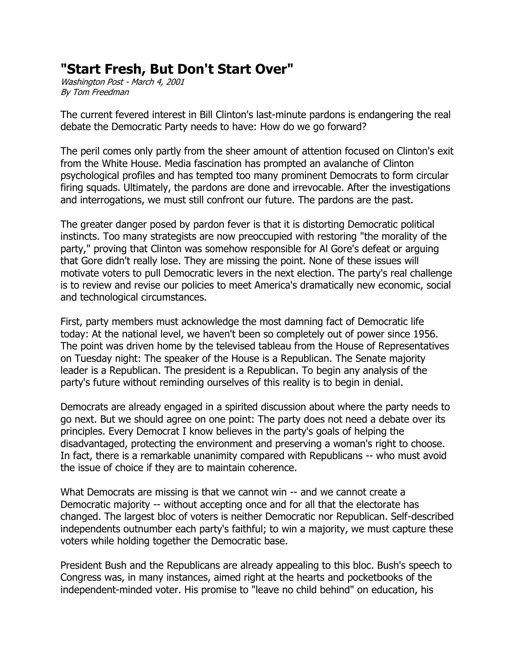## **"Start Fresh, But Don't Start Over"**

Washington Post - March 4, 2001 By Tom Freedman

The current fevered interest in Bill Clinton's last-minute pardons is endangering the real debate the Democratic Party needs to have: How do we go forward?

The peril comes only partly from the sheer amount of attention focused on Clinton's exit from the White House. Media fascination has prompted an avalanche of Clinton psychological profiles and has tempted too many prominent Democrats to form circular firing squads. Ultimately, the pardons are done and irrevocable. After the investigations and interrogations, we must still confront our future. The pardons are the past.

The greater danger posed by pardon fever is that it is distorting Democratic political instincts. Too many strategists are now preoccupied with restoring "the morality of the party," proving that Clinton was somehow responsible for Al Gore's defeat or arguing that Gore didn't really lose. They are missing the point. None of these issues will motivate voters to pull Democratic levers in the next election. The party's real challenge is to review and revise our policies to meet America's dramatically new economic, social and technological circumstances.

First, party members must acknowledge the most damning fact of Democratic life today: At the national level, we haven't been so completely out of power since 1956. The point was driven home by the televised tableau from the House of Representatives on Tuesday night: The speaker of the House is a Republican. The Senate majority leader is a Republican. The president is a Republican. To begin any analysis of the party's future without reminding ourselves of this reality is to begin in denial.

Democrats are already engaged in a spirited discussion about where the party needs to go next. But we should agree on one point: The party does not need a debate over its principles. Every Democrat I know believes in the party's goals of helping the disadvantaged, protecting the environment and preserving a woman's right to choose. In fact, there is a remarkable unanimity compared with Republicans -- who must avoid the issue of choice if they are to maintain coherence.

What Democrats are missing is that we cannot win -- and we cannot create a Democratic majority -- without accepting once and for all that the electorate has changed. The largest bloc of voters is neither Democratic nor Republican. Self-described independents outnumber each party's faithful; to win a majority, we must capture these voters while holding together the Democratic base.

President Bush and the Republicans are already appealing to this bloc. Bush's speech to Congress was, in many instances, aimed right at the hearts and pocketbooks of the independent-minded voter. His promise to "leave no child behind" on education, his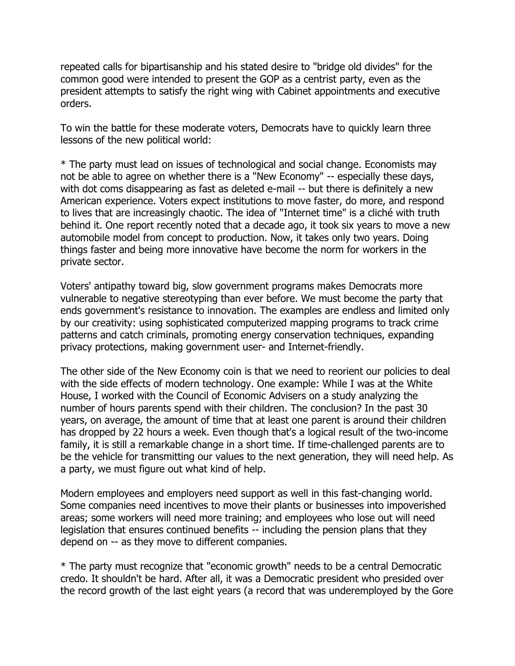repeated calls for bipartisanship and his stated desire to "bridge old divides" for the common good were intended to present the GOP as a centrist party, even as the president attempts to satisfy the right wing with Cabinet appointments and executive orders.

To win the battle for these moderate voters, Democrats have to quickly learn three lessons of the new political world:

\* The party must lead on issues of technological and social change. Economists may not be able to agree on whether there is a "New Economy" -- especially these days, with dot coms disappearing as fast as deleted e-mail -- but there is definitely a new American experience. Voters expect institutions to move faster, do more, and respond to lives that are increasingly chaotic. The idea of "Internet time" is a cliché with truth behind it. One report recently noted that a decade ago, it took six years to move a new automobile model from concept to production. Now, it takes only two years. Doing things faster and being more innovative have become the norm for workers in the private sector.

Voters' antipathy toward big, slow government programs makes Democrats more vulnerable to negative stereotyping than ever before. We must become the party that ends government's resistance to innovation. The examples are endless and limited only by our creativity: using sophisticated computerized mapping programs to track crime patterns and catch criminals, promoting energy conservation techniques, expanding privacy protections, making government user- and Internet-friendly.

The other side of the New Economy coin is that we need to reorient our policies to deal with the side effects of modern technology. One example: While I was at the White House, I worked with the Council of Economic Advisers on a study analyzing the number of hours parents spend with their children. The conclusion? In the past 30 years, on average, the amount of time that at least one parent is around their children has dropped by 22 hours a week. Even though that's a logical result of the two-income family, it is still a remarkable change in a short time. If time-challenged parents are to be the vehicle for transmitting our values to the next generation, they will need help. As a party, we must figure out what kind of help.

Modern employees and employers need support as well in this fast-changing world. Some companies need incentives to move their plants or businesses into impoverished areas; some workers will need more training; and employees who lose out will need legislation that ensures continued benefits -- including the pension plans that they depend on -- as they move to different companies.

\* The party must recognize that "economic growth" needs to be a central Democratic credo. It shouldn't be hard. After all, it was a Democratic president who presided over the record growth of the last eight years (a record that was underemployed by the Gore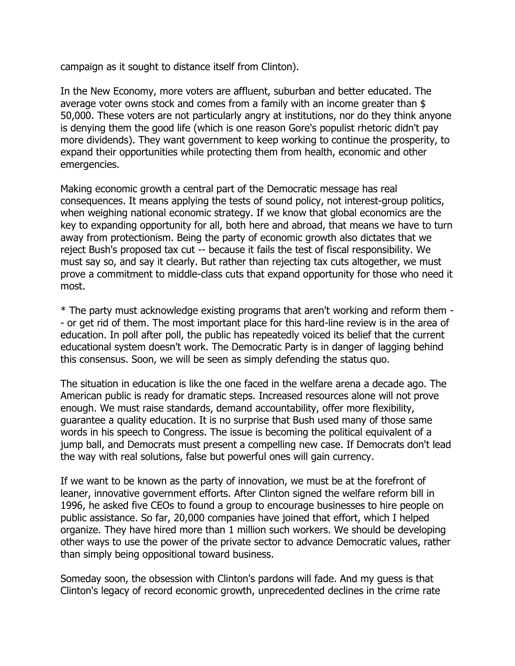campaign as it sought to distance itself from Clinton).

In the New Economy, more voters are affluent, suburban and better educated. The average voter owns stock and comes from a family with an income greater than \$ 50,000. These voters are not particularly angry at institutions, nor do they think anyone is denying them the good life (which is one reason Gore's populist rhetoric didn't pay more dividends). They want government to keep working to continue the prosperity, to expand their opportunities while protecting them from health, economic and other emergencies.

Making economic growth a central part of the Democratic message has real consequences. It means applying the tests of sound policy, not interest-group politics, when weighing national economic strategy. If we know that global economics are the key to expanding opportunity for all, both here and abroad, that means we have to turn away from protectionism. Being the party of economic growth also dictates that we reject Bush's proposed tax cut -- because it fails the test of fiscal responsibility. We must say so, and say it clearly. But rather than rejecting tax cuts altogether, we must prove a commitment to middle-class cuts that expand opportunity for those who need it most.

\* The party must acknowledge existing programs that aren't working and reform them - - or get rid of them. The most important place for this hard-line review is in the area of education. In poll after poll, the public has repeatedly voiced its belief that the current educational system doesn't work. The Democratic Party is in danger of lagging behind this consensus. Soon, we will be seen as simply defending the status quo.

The situation in education is like the one faced in the welfare arena a decade ago. The American public is ready for dramatic steps. Increased resources alone will not prove enough. We must raise standards, demand accountability, offer more flexibility, guarantee a quality education. It is no surprise that Bush used many of those same words in his speech to Congress. The issue is becoming the political equivalent of a jump ball, and Democrats must present a compelling new case. If Democrats don't lead the way with real solutions, false but powerful ones will gain currency.

If we want to be known as the party of innovation, we must be at the forefront of leaner, innovative government efforts. After Clinton signed the welfare reform bill in 1996, he asked five CEOs to found a group to encourage businesses to hire people on public assistance. So far, 20,000 companies have joined that effort, which I helped organize. They have hired more than 1 million such workers. We should be developing other ways to use the power of the private sector to advance Democratic values, rather than simply being oppositional toward business.

Someday soon, the obsession with Clinton's pardons will fade. And my guess is that Clinton's legacy of record economic growth, unprecedented declines in the crime rate